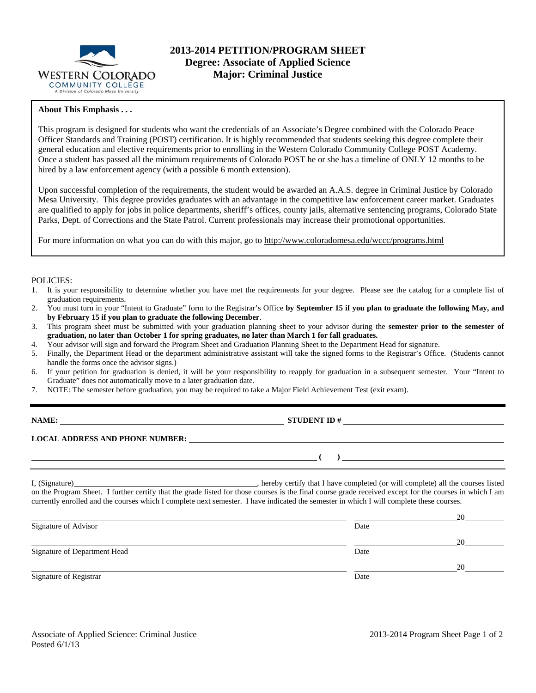

## **2013-2014 PETITION/PROGRAM SHEET Degree: Associate of Applied Science Major: Criminal Justice**

## **About This Emphasis . . .**

This program is designed for students who want the credentials of an Associate's Degree combined with the Colorado Peace Officer Standards and Training (POST) certification. It is highly recommended that students seeking this degree complete their general education and elective requirements prior to enrolling in the Western Colorado Community College POST Academy. Once a student has passed all the minimum requirements of Colorado POST he or she has a timeline of ONLY 12 months to be hired by a law enforcement agency (with a possible 6 month extension).

Upon successful completion of the requirements, the student would be awarded an A.A.S. degree in Criminal Justice by Colorado Mesa University. This degree provides graduates with an advantage in the competitive law enforcement career market. Graduates are qualified to apply for jobs in police departments, sheriff's offices, county jails, alternative sentencing programs, Colorado State Parks, Dept. of Corrections and the State Patrol. Current professionals may increase their promotional opportunities.

For more information on what you can do with this major, go to http://www.coloradomesa.edu/wccc/programs.html

#### POLICIES:

- 1. It is your responsibility to determine whether you have met the requirements for your degree. Please see the catalog for a complete list of graduation requirements.
- 2. You must turn in your "Intent to Graduate" form to the Registrar's Office **by September 15 if you plan to graduate the following May, and by February 15 if you plan to graduate the following December**.
- 3. This program sheet must be submitted with your graduation planning sheet to your advisor during the **semester prior to the semester of graduation, no later than October 1 for spring graduates, no later than March 1 for fall graduates.**
- 4. Your advisor will sign and forward the Program Sheet and Graduation Planning Sheet to the Department Head for signature.
- 5. Finally, the Department Head or the department administrative assistant will take the signed forms to the Registrar's Office. (Students cannot handle the forms once the advisor signs.)
- 6. If your petition for graduation is denied, it will be your responsibility to reapply for graduation in a subsequent semester. Your "Intent to Graduate" does not automatically move to a later graduation date.
- 7. NOTE: The semester before graduation, you may be required to take a Major Field Achievement Test (exit exam).

**NAME: STUDENT ID # STUDENT ID # STUDENT ID # STUDENT ID # STUDENT ID # STUDENT ID # STUDENT ID # STUDENT ID # STUDENT ID # STUDENT ID # STUDENT ID # STUDENT ID # STUDENT # STUDENT # STUDENT #** 

## **LOCAL ADDRESS AND PHONE NUMBER:**

I, (Signature) , hereby certify that I have completed (or will complete) all the courses listed on the Program Sheet. I further certify that the grade listed for those courses is the final course grade received except for the courses in which I am currently enrolled and the courses which I complete next semester. I have indicated the semester in which I will complete these courses.

|                              |      | 20 |
|------------------------------|------|----|
| Signature of Advisor         | Date |    |
|                              |      | 20 |
| Signature of Department Head | Date |    |
|                              |      | 20 |
| Signature of Registrar       | Date |    |

 **( )**